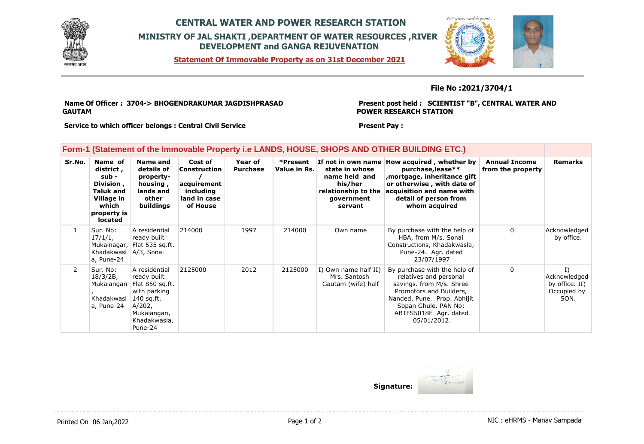

## **CENTRAL WATER AND POWER RESEARCH STATION MINISTRY OF JAL SHAKTI ,DEPARTMENT OF WATER RESOURCES ,RIVER DEVELOPMENT and GANGA REJUVENATION**

**Statement Of Immovable Property as on 31st December 2021**



### **File No :2021/3704/1**

**Name Of Officer : 3704-> BHOGENDRAKUMAR JAGDISHPRASAD GAUTAM** 

**Present post held : SCIENTIST "B", CENTRAL WATER AND POWER RESEARCH STATION**

**Service to which officer belongs : Central Civil Service**

**Present Pay :** 

|  |  | Form-1 (Statement of the Immovable Property i.e LANDS, HOUSE, SHOPS AND OTHER BUILDING ETC.) |
|--|--|----------------------------------------------------------------------------------------------|
|  |  |                                                                                              |

| Sr.No.         | Name of<br>district,<br>sub -<br>Division,<br><b>Taluk and</b><br>Village in<br>which<br>property is<br><b>located</b> | Name and<br>details of<br>property-<br>housing,<br>lands and<br>other<br>buildings                                                | Cost of<br>Construction<br>acquirement<br>including<br>land in case<br>of House | Year of<br><b>Purchase</b> | *Present<br>Value in Rs. | If not in own name<br>state in whose<br>name held and<br>his/her<br>relationship to the<br>government<br>servant | How acquired, whether by<br>purchase, lease**<br>mortgage, inheritance gift,<br>or otherwise, with date of<br>acquisition and name with<br>detail of person from<br>whom acquired                            | <b>Annual Income</b><br>from the property | <b>Remarks</b>                                                          |
|----------------|------------------------------------------------------------------------------------------------------------------------|-----------------------------------------------------------------------------------------------------------------------------------|---------------------------------------------------------------------------------|----------------------------|--------------------------|------------------------------------------------------------------------------------------------------------------|--------------------------------------------------------------------------------------------------------------------------------------------------------------------------------------------------------------|-------------------------------------------|-------------------------------------------------------------------------|
|                | Sur. No:<br>17/1/1,<br>Mukainagar,<br>Khadakwasl   A/3, Sonai<br>a, Pune-24                                            | A residential<br>ready built<br>Flat 535 sq.ft.                                                                                   | 214000                                                                          | 1997                       | 214000                   | Own name                                                                                                         | By purchase with the help of<br>HBA, from M/s. Sonai<br>Constructions, Khadakwasla,<br>Pune-24. Agr. dated<br>23/07/1997                                                                                     | 0                                         | Acknowledged<br>by office.                                              |
| $\overline{2}$ | Sur. No:<br>18/3/2B,<br>Mukaiangan<br>Khadakwasl<br>a, Pune-24                                                         | A residential<br>ready built<br>Flat 850 sq.ft.<br>with parking<br>140 sq.ft.<br>A/202,<br>Mukaiangan,<br>Khadakwasla,<br>Pune-24 | 2125000                                                                         | 2012                       | 2125000                  | I) Own name half II)<br>Mrs. Santosh<br>Gautam (wife) half                                                       | By purchase with the help of<br>relatives and personal<br>savings. from M/s. Shree<br>Promotors and Builders,<br>Nanded, Pune. Prop. Abhijit<br>Sopan Ghule. PAN No:<br>ABTFS5018E Agr. dated<br>05/01/2012. | $\Omega$                                  | $\overline{1}$<br>Acknowledged<br>by office. II)<br>Occupied by<br>SON. |